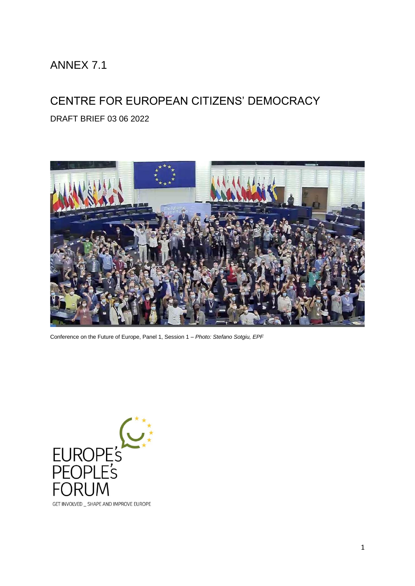# ANNEX 7.1

# CENTRE FOR EUROPEAN CITIZENS' DEMOCRACY

DRAFT BRIEF 03 06 2022



Conference on the Future of Europe, Panel 1, Session 1 – *Photo: Stefano Sotgiu, EPF*

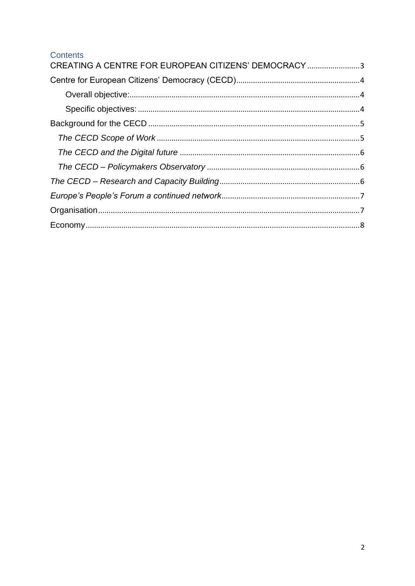#### Contents

| CREATING A CENTRE FOR EUROPEAN CITIZENS' DEMOCRACY 3 |  |
|------------------------------------------------------|--|
|                                                      |  |
|                                                      |  |
|                                                      |  |
|                                                      |  |
|                                                      |  |
|                                                      |  |
|                                                      |  |
|                                                      |  |
|                                                      |  |
|                                                      |  |
|                                                      |  |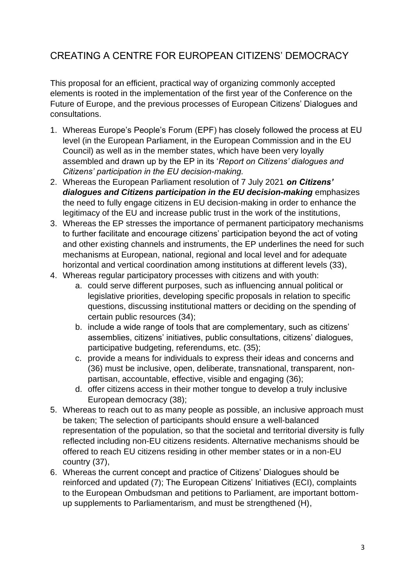### <span id="page-2-0"></span>CREATING A CENTRE FOR EUROPEAN CITIZENS' DEMOCRACY

This proposal for an efficient, practical way of organizing commonly accepted elements is rooted in the implementation of the first year of the Conference on the Future of Europe, and the previous processes of European Citizens' Dialogues and consultations.

- 1. Whereas Europe's People's Forum (EPF) has closely followed the process at EU level (in the European Parliament, in the European Commission and in the EU Council) as well as in the member states, which have been very loyally assembled and drawn up by the EP in its '*Report on Citizens' dialogues and Citizens' participation in the EU decision-making.*
- 2. Whereas the European Parliament resolution of 7 July 2021 *on Citizens' dialogues and Citizens participation in the EU decision-making* emphasizes the need to fully engage citizens in EU decision-making in order to enhance the legitimacy of the EU and increase public trust in the work of the institutions,
- 3. Whereas the EP stresses the importance of permanent participatory mechanisms to further facilitate and encourage citizens' participation beyond the act of voting and other existing channels and instruments, the EP underlines the need for such mechanisms at European, national, regional and local level and for adequate horizontal and vertical coordination among institutions at different levels (33),
- 4. Whereas regular participatory processes with citizens and with youth:
	- a. could serve different purposes, such as influencing annual political or legislative priorities, developing specific proposals in relation to specific questions, discussing institutional matters or deciding on the spending of certain public resources (34);
	- b. include a wide range of tools that are complementary, such as citizens' assemblies, citizens' initiatives, public consultations, citizens' dialogues, participative budgeting, referendums, etc. (35);
	- c. provide a means for individuals to express their ideas and concerns and (36) must be inclusive, open, deliberate, transnational, transparent, nonpartisan, accountable, effective, visible and engaging (36);
	- d. offer citizens access in their mother tongue to develop a truly inclusive European democracy (38);
- 5. Whereas to reach out to as many people as possible, an inclusive approach must be taken; The selection of participants should ensure a well-balanced representation of the population, so that the societal and territorial diversity is fully reflected including non-EU citizens residents. Alternative mechanisms should be offered to reach EU citizens residing in other member states or in a non-EU country (37),
- 6. Whereas the current concept and practice of Citizens' Dialogues should be reinforced and updated (7); The European Citizens' Initiatives (ECI), complaints to the European Ombudsman and petitions to Parliament, are important bottomup supplements to Parliamentarism, and must be strengthened (H),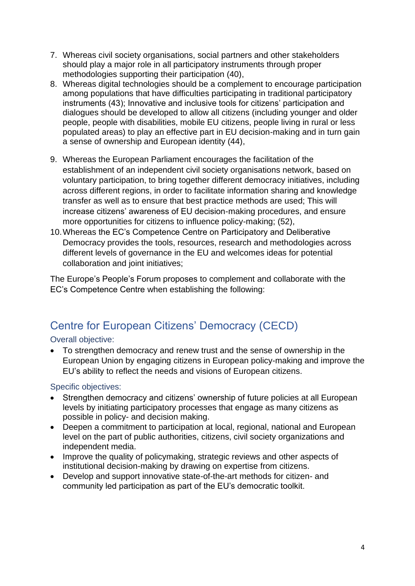- 7. Whereas civil society organisations, social partners and other stakeholders should play a major role in all participatory instruments through proper methodologies supporting their participation (40),
- 8. Whereas digital technologies should be a complement to encourage participation among populations that have difficulties participating in traditional participatory instruments (43); Innovative and inclusive tools for citizens' participation and dialogues should be developed to allow all citizens (including younger and older people, people with disabilities, mobile EU citizens, people living in rural or less populated areas) to play an effective part in EU decision-making and in turn gain a sense of ownership and European identity (44),
- 9. Whereas the European Parliament encourages the facilitation of the establishment of an independent civil society organisations network, based on voluntary participation, to bring together different democracy initiatives, including across different regions, in order to facilitate information sharing and knowledge transfer as well as to ensure that best practice methods are used; This will increase citizens' awareness of EU decision-making procedures, and ensure more opportunities for citizens to influence policy-making; (52),
- 10.Whereas the EC's Competence Centre on Participatory and Deliberative Democracy provides the tools, resources, research and methodologies across different levels of governance in the EU and welcomes ideas for potential collaboration and joint initiatives;

The Europe's People's Forum proposes to complement and collaborate with the EC's Competence Centre when establishing the following:

# <span id="page-3-0"></span>Centre for European Citizens' Democracy (CECD)

<span id="page-3-1"></span>Overall objective:

• To strengthen democracy and renew trust and the sense of ownership in the European Union by engaging citizens in European policy-making and improve the EU's ability to reflect the needs and visions of European citizens.

<span id="page-3-2"></span>Specific objectives:

- Strengthen democracy and citizens' ownership of future policies at all European levels by initiating participatory processes that engage as many citizens as possible in policy- and decision making.
- Deepen a commitment to participation at local, regional, national and European level on the part of public authorities, citizens, civil society organizations and independent media.
- Improve the quality of policymaking, strategic reviews and other aspects of institutional decision-making by drawing on expertise from citizens.
- Develop and support innovative state-of-the-art methods for citizen- and community led participation as part of the EU's democratic toolkit.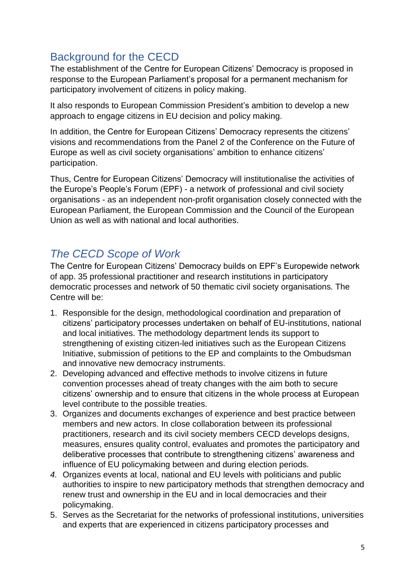# <span id="page-4-0"></span>Background for the CECD

The establishment of the Centre for European Citizens' Democracy is proposed in response to the European Parliament's proposal for a permanent mechanism for participatory involvement of citizens in policy making.

It also responds to European Commission President's ambition to develop a new approach to engage citizens in EU decision and policy making.

In addition, the Centre for European Citizens' Democracy represents the citizens' visions and recommendations from the Panel 2 of the Conference on the Future of Europe as well as civil society organisations' ambition to enhance citizens' participation.

Thus, Centre for European Citizens' Democracy will institutionalise the activities of the Europe's People's Forum (EPF) - a network of professional and civil society organisations - as an independent non-profit organisation closely connected with the European Parliament, the European Commission and the Council of the European Union as well as with national and local authorities.

## <span id="page-4-1"></span>*The CECD Scope of Work*

The Centre for European Citizens' Democracy builds on EPF's Europewide network of app. 35 professional practitioner and research institutions in participatory democratic processes and network of 50 thematic civil society organisations. The Centre will be:

- 1. Responsible for the design, methodological coordination and preparation of citizens' participatory processes undertaken on behalf of EU-institutions, national and local initiatives. The methodology department lends its support to strengthening of existing citizen-led initiatives such as the European Citizens Initiative, submission of petitions to the EP and complaints to the Ombudsman and innovative new democracy instruments.
- 2. Developing advanced and effective methods to involve citizens in future convention processes ahead of treaty changes with the aim both to secure citizens' ownership and to ensure that citizens in the whole process at European level contribute to the possible treaties.
- 3. Organizes and documents exchanges of experience and best practice between members and new actors. In close collaboration between its professional practitioners, research and its civil society members CECD develops designs, measures, ensures quality control, evaluates and promotes the participatory and deliberative processes that contribute to strengthening citizens' awareness and influence of EU policymaking between and during election periods.
- *4.* Organizes events at local, national and EU levels with politicians and public authorities to inspire to new participatory methods that strengthen democracy and renew trust and ownership in the EU and in local democracies and their policymaking.
- 5. Serves as the Secretariat for the networks of professional institutions, universities and experts that are experienced in citizens participatory processes and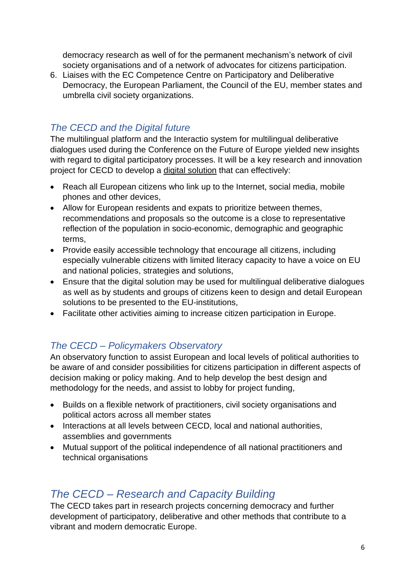democracy research as well of for the permanent mechanism's network of civil society organisations and of a network of advocates for citizens participation.

6. Liaises with the EC Competence Centre on Participatory and Deliberative Democracy, the European Parliament, the Council of the EU, member states and umbrella civil society organizations.

### <span id="page-5-0"></span>*The CECD and the Digital future*

The multilingual platform and the Interactio system for multilingual deliberative dialogues used during the Conference on the Future of Europe yielded new insights with regard to digital participatory processes. It will be a key research and innovation project for CECD to develop a digital solution that can effectively:

- Reach all European citizens who link up to the Internet, social media, mobile phones and other devices,
- Allow for European residents and expats to prioritize between themes, recommendations and proposals so the outcome is a close to representative reflection of the population in socio-economic, demographic and geographic terms,
- Provide easily accessible technology that encourage all citizens, including especially vulnerable citizens with limited literacy capacity to have a voice on EU and national policies, strategies and solutions,
- Ensure that the digital solution may be used for multilingual deliberative dialogues as well as by students and groups of citizens keen to design and detail European solutions to be presented to the EU-institutions,
- Facilitate other activities aiming to increase citizen participation in Europe.

#### <span id="page-5-1"></span>*The CECD – Policymakers Observatory*

An observatory function to assist European and local levels of political authorities to be aware of and consider possibilities for citizens participation in different aspects of decision making or policy making. And to help develop the best design and methodology for the needs, and assist to lobby for project funding,

- Builds on a flexible network of practitioners, civil society organisations and political actors across all member states
- Interactions at all levels between CECD, local and national authorities, assemblies and governments
- Mutual support of the political independence of all national practitioners and technical organisations

### <span id="page-5-2"></span>*The CECD – Research and Capacity Building*

The CECD takes part in research projects concerning democracy and further development of participatory, deliberative and other methods that contribute to a vibrant and modern democratic Europe.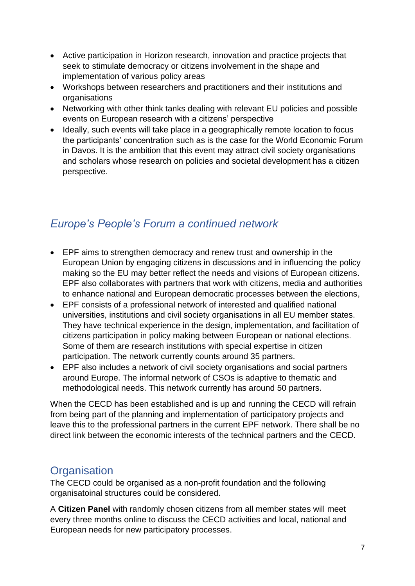- Active participation in Horizon research, innovation and practice projects that seek to stimulate democracy or citizens involvement in the shape and implementation of various policy areas
- Workshops between researchers and practitioners and their institutions and organisations
- Networking with other think tanks dealing with relevant EU policies and possible events on European research with a citizens' perspective
- Ideally, such events will take place in a geographically remote location to focus the participants' concentration such as is the case for the World Economic Forum in Davos. It is the ambition that this event may attract civil society organisations and scholars whose research on policies and societal development has a citizen perspective.

# <span id="page-6-0"></span>*Europe's People's Forum a continued network*

- EPF aims to strengthen democracy and renew trust and ownership in the European Union by engaging citizens in discussions and in influencing the policy making so the EU may better reflect the needs and visions of European citizens. EPF also collaborates with partners that work with citizens, media and authorities to enhance national and European democratic processes between the elections,
- EPF consists of a professional network of interested and qualified national universities, institutions and civil society organisations in all EU member states. They have technical experience in the design, implementation, and facilitation of citizens participation in policy making between European or national elections. Some of them are research institutions with special expertise in citizen participation. The network currently counts around 35 partners.
- EPF also includes a network of civil society organisations and social partners around Europe. The informal network of CSOs is adaptive to thematic and methodological needs. This network currently has around 50 partners.

When the CECD has been established and is up and running the CECD will refrain from being part of the planning and implementation of participatory projects and leave this to the professional partners in the current EPF network. There shall be no direct link between the economic interests of the technical partners and the CECD.

## <span id="page-6-1"></span>**Organisation**

The CECD could be organised as a non-profit foundation and the following organisatoinal structures could be considered.

A **Citizen Panel** with randomly chosen citizens from all member states will meet every three months online to discuss the CECD activities and local, national and European needs for new participatory processes.